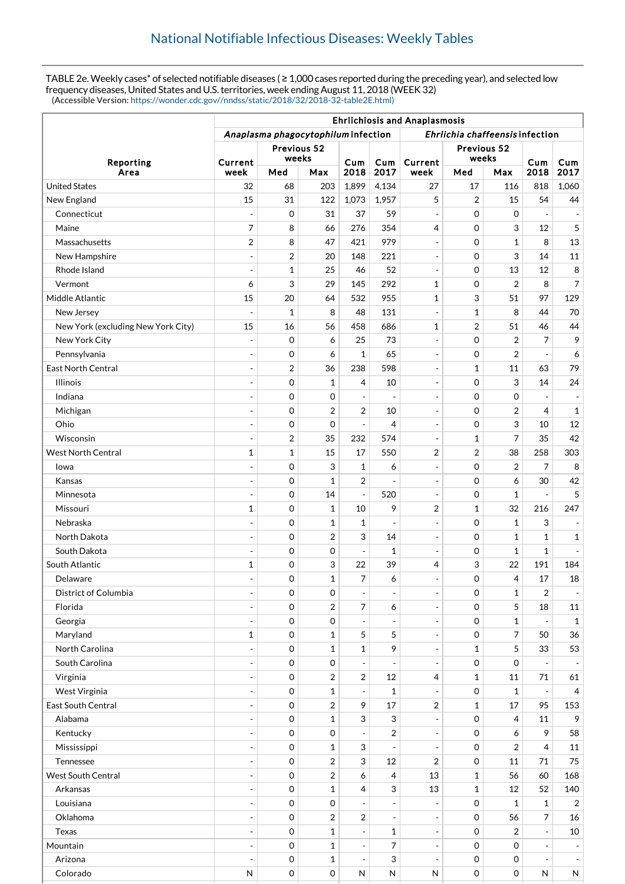TABLE 2e. Weekly cases\* of selected notifiable diseases ( ≥ 1,000 cases reported during the preceding year), and selected low frequency diseases, United States and U.S. territories, week ending August 11, 2018 (WEEK 32) (Accessible Version: [https://wonder.cdc.gov//nndss/static/2018/32/2018-32-table2E.html\)](https://wonder.cdc.gov//nndss/static/2018/32/2018-32-table2E.html)

|                                    | <b>Ehrlichiosis and Anaplasmosis</b> |                      |                     |                           |                          |                              |                                 |                     |                          |                          |  |
|------------------------------------|--------------------------------------|----------------------|---------------------|---------------------------|--------------------------|------------------------------|---------------------------------|---------------------|--------------------------|--------------------------|--|
|                                    | Anaplasma phagocytophilum infection  |                      |                     |                           |                          |                              | Ehrlichia chaffeensis infection |                     |                          |                          |  |
| Reporting<br>Area                  |                                      | Previous 52<br>weeks |                     |                           |                          |                              | Previous 52<br>weeks            |                     |                          |                          |  |
|                                    | Current<br>week                      | Med                  | Max                 | Cum<br>2018               | Cum<br>2017              | Current<br>week              | Med                             | Max                 | Cum<br>2018              | Cum<br>2017              |  |
| <b>United States</b>               | 32                                   | 68                   | 203                 | 1,899                     | 4,134                    | 27                           | 17                              | 116                 | 818                      | 1,060                    |  |
| New England                        | 15                                   | 31                   | 122                 | 1,073                     | 1,957                    | 5                            | $\overline{2}$                  | 15                  | 54                       | 44                       |  |
| Connecticut                        | $\overline{\phantom{a}}$             | 0                    | 31                  | 37                        | 59                       | $\overline{\phantom{a}}$     | $\mathbf 0$                     | $\mathbf 0$         |                          | $\overline{\phantom{a}}$ |  |
| Maine                              | 7                                    | 8                    | 66                  | 276                       | 354                      | 4                            | 0                               | 3                   | 12                       | 5                        |  |
| Massachusetts                      | $\overline{2}$                       | 8                    | 47                  | 421                       | 979                      | $\blacksquare$               | 0                               | $\mathbf{1}$        | 8                        | 13                       |  |
| New Hampshire                      | $\sim$                               | $\boldsymbol{2}$     | 20                  | 148                       | 221                      | $\blacksquare$               | 0                               | 3                   | 14                       | 11                       |  |
| Rhode Island                       | $\overline{\phantom{a}}$             | 1                    | 25                  | 46                        | 52                       | $\overline{\phantom{a}}$     | $\mathbf 0$                     | 13                  | 12                       | 8                        |  |
| Vermont                            | 6                                    | 3                    | 29                  | 145                       | 292                      | 1                            | $\mathbf 0$                     | $\overline{2}$      | 8                        | $\overline{7}$           |  |
| Middle Atlantic                    | 15                                   | 20                   | 64                  | 532                       | 955                      | 1                            | 3                               | 51                  | 97                       | 129                      |  |
| New Jersey                         |                                      | $\mathbf{1}$         | 8                   | 48                        | 131                      | $\overline{a}$               | $\mathbf{1}$                    | 8                   | 44                       | 70                       |  |
| New York (excluding New York City) | 15                                   | 16                   | 56                  | 458                       | 686                      | 1                            | $\overline{\mathbf{c}}$         | 51                  | 46                       | 44                       |  |
| New York City                      | $\overline{\phantom{a}}$             | 0                    | 6                   | 25                        | 73                       | $\overline{\phantom{a}}$     | 0                               | $\overline{2}$      | 7                        | 9                        |  |
| Pennsylvania                       |                                      | 0                    | 6                   | 1                         | 65                       | $\overline{a}$               | 0                               | $\overline{2}$      |                          | 6                        |  |
| <b>East North Central</b>          | $\overline{\phantom{a}}$             | $\overline{2}$       | 36                  | 238                       | 598                      | $\overline{\phantom{a}}$     | $\mathbf{1}$                    | 11                  | 63                       | 79                       |  |
| <b>Illinois</b>                    | $\overline{\phantom{a}}$             | $\mathbf 0$          | 1                   | 4                         | 10                       | $\overline{a}$               | $\mathbf 0$                     | 3                   | 14                       | 24                       |  |
| Indiana                            | $\overline{\phantom{a}}$             | 0                    | $\mathbf 0$         | $\overline{\phantom{a}}$  | $\overline{\phantom{a}}$ | $\overline{\phantom{a}}$     | $\mathbf 0$                     | $\mathbf 0$         |                          | $\overline{\phantom{a}}$ |  |
| Michigan                           | $\sim$                               | 0                    | $\overline{2}$      | $\overline{2}$            | 10                       | $\overline{\phantom{a}}$     | $\mathbf 0$                     | $\overline{2}$      | 4                        | $\mathbf{1}$             |  |
| Ohio                               | $\overline{\phantom{a}}$             | 0                    | $\mathbf 0$         | $\overline{\phantom{a}}$  | 4                        | $\overline{\phantom{a}}$     | 0                               | 3                   | 10                       | 12                       |  |
| Wisconsin                          | ÷,                                   | $\overline{2}$       | 35                  | 232                       | 574                      | $\overline{a}$               | 1                               | $\overline{7}$      | 35                       | 42                       |  |
| <b>West North Central</b>          | $\mathbf{1}$                         | $\mathbf 1$          | 15                  | 17                        | 550                      | $\boldsymbol{2}$             | $\overline{2}$                  | 38                  | 258                      | 303                      |  |
| lowa                               | $\overline{\phantom{a}}$             | 0                    | 3                   | 1                         | 6                        | $\overline{\phantom{a}}$     | 0                               | $\overline{2}$      | 7                        | $\, 8$                   |  |
| Kansas                             |                                      | 0                    | 1                   | $\overline{2}$            | $\overline{a}$           | $\overline{a}$               | 0                               | 6                   | 30                       | 42                       |  |
| Minnesota                          | $\overline{\phantom{a}}$             | 0                    | 14                  | $\blacksquare$            | 520                      | $\blacksquare$               | 0                               | $\mathbf 1$         |                          | 5                        |  |
| Missouri                           | $\mathbf{1}$                         | 0                    | 1                   | 10                        | 9                        | $\overline{2}$               | $\mathbf 1$                     | 32                  | 216                      | 247                      |  |
| Nebraska                           | $\overline{\phantom{a}}$             | 0                    | 1                   | 1                         | $\overline{\phantom{a}}$ | $\overline{\phantom{a}}$     | $\mathbf 0$                     | $\mathbf{1}$        | 3                        |                          |  |
| North Dakota                       | $\sim$                               | 0                    | $\overline{2}$      | 3                         | 14                       | $\overline{\phantom{a}}$     | $\mathbf 0$                     | $\mathbf{1}$        | $\mathbf{1}$             | $\mathbf{1}$             |  |
| South Dakota                       | $\overline{\phantom{a}}$             | 0                    | $\mathbf 0$         | $\overline{\phantom{a}}$  | $\mathbf{1}$             | $\overline{a}$               | 0                               | $\mathbf{1}$        | 1                        |                          |  |
| South Atlantic                     | 1                                    | 0                    | 3                   | 22                        | 39                       | 4                            | 3                               | 22                  | 191                      | 184                      |  |
| Delaware                           | $\overline{a}$                       | 0                    | $\mathbf{1}$        | $\overline{7}$            | 6                        | ÷,                           | $\Omega$                        | 4                   | 17                       | 18                       |  |
| District of Columbia               | $\overline{a}$                       | 0                    | 0                   | $\overline{\phantom{a}}$  | $\overline{\phantom{a}}$ | $\overline{\phantom{a}}$     | $\mathbf 0$                     | 1                   | 2                        | $\overline{\phantom{a}}$ |  |
| Florida                            |                                      | 0                    | $\overline{2}$      | 7                         | 6                        | $\qquad \qquad \blacksquare$ | 0                               | 5                   | 18                       | 11                       |  |
| Georgia                            | $\overline{a}$                       | 0                    | 0                   | $\overline{\phantom{a}}$  | $\blacksquare$           | $\blacksquare$               | 0                               | $\mathbf{1}$        |                          | $\mathbf{1}$             |  |
| Maryland                           | $\mathbf{1}$                         | 0                    | 1                   | 5                         | 5                        | $\overline{\phantom{a}}$     | 0                               | 7                   | 50                       | 36                       |  |
| North Carolina                     | $\overline{\phantom{a}}$             | 0                    | $\mathbf 1$         | $\mathbf{1}$              | 9                        | $\overline{\phantom{a}}$     | $\mathbf{1}$                    | 5                   | 33                       | 53                       |  |
| South Carolina                     |                                      | 0                    | 0                   | $\blacksquare$            | $\overline{a}$           | $\overline{a}$               | $\mathsf{O}\xspace$             | $\mathbf 0$         |                          | $\overline{\phantom{a}}$ |  |
| Virginia                           | $\overline{\phantom{a}}$             | 0                    | $\overline{2}$      | $\sqrt{2}$                | 12                       | 4                            | $\mathbf{1}$                    | 11                  | 71                       | 61                       |  |
| West Virginia                      | $\overline{\phantom{a}}$             | 0                    | $\mathbf 1$         | $\blacksquare$            | 1                        | ÷                            | 0                               | $\mathbf{1}$        |                          | 4                        |  |
| East South Central                 | $\overline{\phantom{a}}$             | 0                    | 2                   | 9                         | 17                       | 2                            | $\mathbf{1}$                    | 17                  | 95                       | 153                      |  |
| Alabama                            | $\overline{\phantom{a}}$             | 0                    | 1                   | 3                         | 3                        | $\blacksquare$               | 0                               | 4                   | 11                       | 9                        |  |
| Kentucky                           | $\overline{\phantom{a}}$             | 0                    | $\mathbf 0$         | $\blacksquare$            | $\overline{2}$           | $\overline{\phantom{a}}$     | 0                               | 6                   | 9                        | 58                       |  |
| Mississippi                        | $\overline{a}$                       | 0                    | 1                   | $\ensuremath{\mathsf{3}}$ |                          | ÷                            | 0                               | $\overline{2}$      | 4                        | 11                       |  |
| Tennessee                          | $\overline{\phantom{a}}$             | 0                    | 2                   | 3                         | 12                       | $\boldsymbol{2}$             | 0                               | 11                  | 71                       | 75                       |  |
| <b>West South Central</b>          | $\blacksquare$                       | 0                    | $\overline{2}$      | 6                         | 4                        | 13                           | $\mathbf{1}$                    | 56                  | 60                       | 168                      |  |
| Arkansas                           | $\equiv$                             | 0                    | 1                   | $\overline{4}$            | 3                        | 13                           | 1                               | 12                  | 52                       | 140                      |  |
| Louisiana                          | $\overline{\phantom{a}}$             | 0                    | 0                   | $\overline{\phantom{a}}$  | $\overline{\phantom{a}}$ | $\overline{a}$               | 0                               | $\mathbf 1$         | $\mathbf{1}$             | $\overline{2}$           |  |
| Oklahoma                           | $\overline{a}$                       | 0                    | 2                   | $\sqrt{2}$                | $\overline{a}$           | $\overline{a}$               | 0                               | 56                  | 7                        | 16                       |  |
| Texas                              | $\overline{\phantom{a}}$             | 0                    | $\mathbf 1$         | $\overline{\phantom{a}}$  | $\mathbf{1}$             | $\overline{\phantom{a}}$     | 0                               | $\overline{2}$      | $\overline{\phantom{a}}$ | 10                       |  |
| Mountain                           | $\overline{\phantom{a}}$             | 0                    | 1                   | $\blacksquare$            | 7                        | $\blacksquare$               | 0                               | $\mathbf 0$         | $\overline{\phantom{a}}$ | $\overline{\phantom{a}}$ |  |
| Arizona                            |                                      | 0                    | 1                   | $\blacksquare$            | 3                        | $\overline{a}$               | 0                               | 0                   |                          |                          |  |
| Colorado                           | ${\sf N}$                            | 0                    | $\mathsf{O}\xspace$ | $\mathsf{N}$              | $\mathsf{N}$             | N                            | $\mathsf{O}\xspace$             | $\mathsf{O}\xspace$ | ${\sf N}$                | $\mathsf{N}^-$           |  |